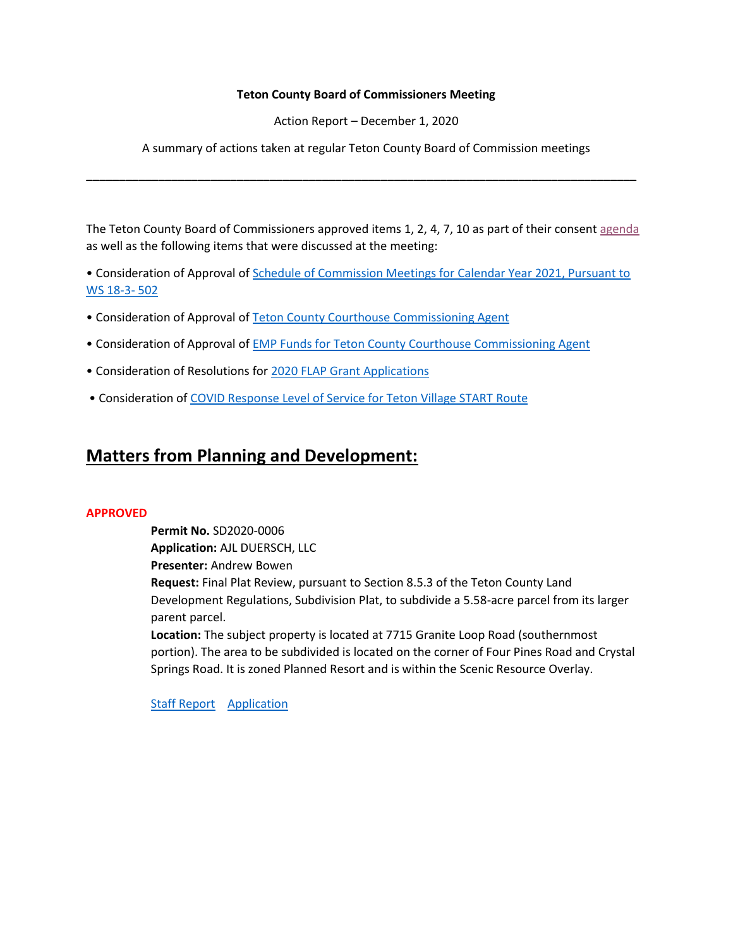## **Teton County Board of Commissioners Meeting**

Action Report – December 1, 2020

A summary of actions taken at regular Teton County Board of Commission meetings

**\_\_\_\_\_\_\_\_\_\_\_\_\_\_\_\_\_\_\_\_\_\_\_\_\_\_\_\_\_\_\_\_\_\_\_\_\_\_\_\_\_\_\_\_\_\_\_\_\_\_\_\_\_\_\_\_\_\_\_\_\_\_\_\_\_\_\_\_\_\_\_\_\_\_\_\_\_\_\_\_\_\_\_\_**

The Teton County Board of Commissioners approved items 1, 2, 4, 7, 10 as part of their consent [agenda](http://tetoncountywy.gov/AgendaCenter/ViewFile/Agenda/_12012020-1563) as well as the following items that were discussed at the meeting:

• Consideration of Approval of [Schedule of Commission Meetings for Calendar Year 2021, Pursuant to](https://www.tetoncountywy.gov/DocumentCenter/View/16204/120203-2021-BCC-Meeting-Dates)  [WS 18-3-](https://www.tetoncountywy.gov/DocumentCenter/View/16204/120203-2021-BCC-Meeting-Dates) 502

- Consideration of Approval of [Teton County Courthouse Commissioning Agent](https://www.tetoncountywy.gov/DocumentCenter/View/16208/120105-Teton-County-Courthouse-Commissioning-Agent)
- Consideration of Approval of [EMP Funds for Teton County Courthouse Commissioning Agent](https://www.tetoncountywy.gov/DocumentCenter/View/16209/120106-Staff-Report-EMP-funding-TCCH-CxP)
- Consideration of Resolutions fo[r 2020 FLAP Grant Applications](https://www.tetoncountywy.gov/DocumentCenter/View/16217/120108--FLAP-Grant-Applications?bidId=)
- Consideration of [COVID Response Level of Service for Teton Village START](https://www.tetoncountywy.gov/DocumentCenter/View/16241/START-LevelOService) Route

# **Matters from Planning and Development:**

### **APPROVED**

**Permit No.** SD2020-0006 **Application:** AJL DUERSCH, LLC **Presenter:** Andrew Bowen **Request:** Final Plat Review, pursuant to Section 8.5.3 of the Teton County Land Development Regulations, Subdivision Plat, to subdivide a 5.58-acre parcel from its larger parent parcel. **Location:** The subject property is located at 7715 Granite Loop Road (southernmost

portion). The area to be subdivided is located on the corner of Four Pines Road and Crystal Springs Road. It is zoned Planned Resort and is within the Scenic Resource Overlay.

[Staff Report](https://www.tetoncountywy.gov/DocumentCenter/View/16221/SD2020-0006-Packet-BCC120120) [Application](https://developmentrecords.tetoncountywy.gov/Portal/Planning/Status?planningId=20195)